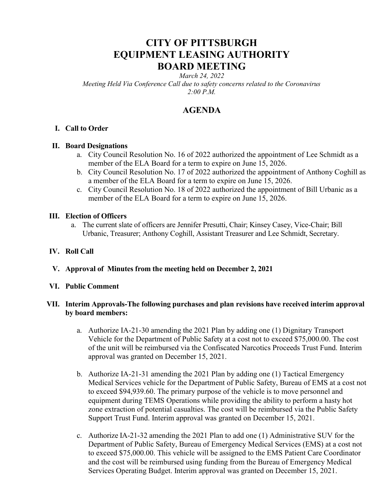# CITY OF PITTSBURGH EQUIPMENT LEASING AUTHORITY BOARD MEETING

March 24, 2022

Meeting Held Via Conference Call due to safety concerns related to the Coronavirus 2:00 P.M.

# AGENDA

# I. Call to Order

# II. Board Designations

- a. City Council Resolution No. 16 of 2022 authorized the appointment of Lee Schmidt as a member of the ELA Board for a term to expire on June 15, 2026.
- b. City Council Resolution No. 17 of 2022 authorized the appointment of Anthony Coghill as a member of the ELA Board for a term to expire on June 15, 2026.
- c. City Council Resolution No. 18 of 2022 authorized the appointment of Bill Urbanic as a member of the ELA Board for a term to expire on June 15, 2026.

# III. Election of Officers

- a. The current slate of officers are Jennifer Presutti, Chair; Kinsey Casey, Vice-Chair; Bill Urbanic, Treasurer; Anthony Coghill, Assistant Treasurer and Lee Schmidt, Secretary.
- IV. Roll Call
- V. Approval of Minutes from the meeting held on December 2, 2021

# VI. Public Comment

# VII. Interim Approvals-The following purchases and plan revisions have received interim approval by board members:

- a. Authorize IA-21-30 amending the 2021 Plan by adding one (1) Dignitary Transport Vehicle for the Department of Public Safety at a cost not to exceed \$75,000.00. The cost of the unit will be reimbursed via the Confiscated Narcotics Proceeds Trust Fund. Interim approval was granted on December 15, 2021.
- b. Authorize IA-21-31 amending the 2021 Plan by adding one (1) Tactical Emergency Medical Services vehicle for the Department of Public Safety, Bureau of EMS at a cost not to exceed \$94,939.60. The primary purpose of the vehicle is to move personnel and equipment during TEMS Operations while providing the ability to perform a hasty hot zone extraction of potential casualties. The cost will be reimbursed via the Public Safety Support Trust Fund. Interim approval was granted on December 15, 2021.
- c. Authorize IA-21-32 amending the 2021 Plan to add one (1) Administrative SUV for the Department of Public Safety, Bureau of Emergency Medical Services (EMS) at a cost not to exceed \$75,000.00. This vehicle will be assigned to the EMS Patient Care Coordinator and the cost will be reimbursed using funding from the Bureau of Emergency Medical Services Operating Budget. Interim approval was granted on December 15, 2021.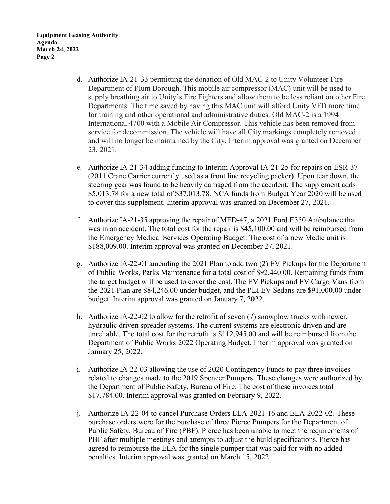Equipment Leasing Authority Agenda March 24, 2022 Page 2

- d. Authorize IA-21-33 permitting the donation of Old MAC-2 to Unity Volunteer Fire Department of Plum Borough. This mobile air compressor (MAC) unit will be used to supply breathing air to Unity's Fire Fighters and allow them to be less reliant on other Fire Departments. The time saved by having this MAC unit will afford Unity VFD more time for training and other operational and administrative duties. Old MAC-2 is a 1994 International 4700 with a Mobile Air Compressor. This vehicle has been removed from service for decommission. The vehicle will have all City markings completely removed and will no longer be maintained by the City. Interim approval was granted on December 23, 2021.
- e. Authorize IA-21-34 adding funding to Interim Approval IA-21-25 for repairs on ESR-37 (2011 Crane Carrier currently used as a front line recycling packer). Upon tear down, the steering gear was found to be heavily damaged from the accident. The supplement adds \$5,013.78 for a new total of \$37,013.78. NCA funds from Budget Year 2020 will be used to cover this supplement. Interim approval was granted on December 27, 2021.
- f. Authorize IA-21-35 approving the repair of MED-47, a 2021 Ford E350 Ambulance that was in an accident. The total cost for the repair is \$45,100.00 and will be reimbursed from the Emergency Medical Services Operating Budget. The cost of a new Medic unit is \$188,009.00. Interim approval was granted on December 27, 2021.
- g. Authorize IA-22-01 amending the 2021 Plan to add two (2) EV Pickups for the Department of Public Works, Parks Maintenance for a total cost of \$92,440.00. Remaining funds from the target budget will be used to cover the cost. The EV Pickups and EV Cargo Vans from the 2021 Plan are \$84,246.00 under budget, and the PLI EV Sedans are \$91,000.00 under budget. Interim approval was granted on January 7, 2022.
- h. Authorize IA-22-02 to allow for the retrofit of seven (7) snowplow trucks with newer, hydraulic driven spreader systems. The current systems are electronic driven and are unreliable. The total cost for the retrofit is \$112,945.00 and will be reimbursed from the Department of Public Works 2022 Operating Budget. Interim approval was granted on January 25, 2022.
- i. Authorize IA-22-03 allowing the use of 2020 Contingency Funds to pay three invoices related to changes made to the 2019 Spencer Pumpers. These changes were authorized by the Department of Public Safety, Bureau of Fire. The cost of these invoices total \$17,784.00. Interim approval was granted on February 9, 2022.
- j. Authorize IA-22-04 to cancel Purchase Orders ELA-2021-16 and ELA-2022-02. These purchase orders were for the purchase of three Pierce Pumpers for the Department of Public Safety, Bureau of Fire (PBF). Pierce has been unable to meet the requirements of PBF after multiple meetings and attempts to adjust the build specifications. Pierce has agreed to reimburse the ELA for the single pumper that was paid for with no added penalties. Interim approval was granted on March 15, 2022.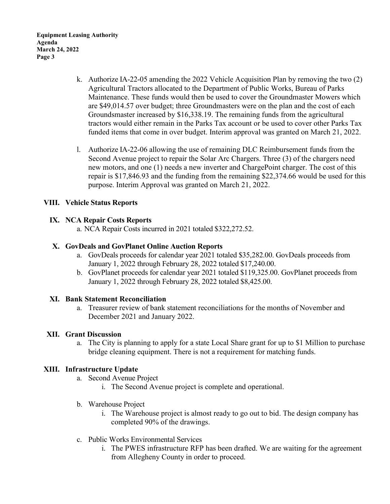Equipment Leasing Authority Agenda March 24, 2022 Page 3

- k. Authorize IA-22-05 amending the 2022 Vehicle Acquisition Plan by removing the two (2) Agricultural Tractors allocated to the Department of Public Works, Bureau of Parks Maintenance. These funds would then be used to cover the Groundmaster Mowers which are \$49,014.57 over budget; three Groundmasters were on the plan and the cost of each Groundsmaster increased by \$16,338.19. The remaining funds from the agricultural tractors would either remain in the Parks Tax account or be used to cover other Parks Tax funded items that come in over budget. Interim approval was granted on March 21, 2022.
- l. Authorize IA-22-06 allowing the use of remaining DLC Reimbursement funds from the Second Avenue project to repair the Solar Arc Chargers. Three (3) of the chargers need new motors, and one (1) needs a new inverter and ChargePoint charger. The cost of this repair is \$17,846.93 and the funding from the remaining \$22,374.66 would be used for this purpose. Interim Approval was granted on March 21, 2022.

### VIII. Vehicle Status Reports

#### IX. NCA Repair Costs Reports

a. NCA Repair Costs incurred in 2021 totaled \$322,272.52.

#### X. GovDeals and GovPlanet Online Auction Reports

- a. GovDeals proceeds for calendar year 2021 totaled \$35,282.00. GovDeals proceeds from January 1, 2022 through February 28, 2022 totaled \$17,240.00.
- b. GovPlanet proceeds for calendar year 2021 totaled \$119,325.00. GovPlanet proceeds from January 1, 2022 through February 28, 2022 totaled \$8,425.00.

#### XI. Bank Statement Reconciliation

a. Treasurer review of bank statement reconciliations for the months of November and December 2021 and January 2022.

#### XII. Grant Discussion

a. The City is planning to apply for a state Local Share grant for up to \$1 Million to purchase bridge cleaning equipment. There is not a requirement for matching funds.

#### XIII. Infrastructure Update

- a. Second Avenue Project
	- i. The Second Avenue project is complete and operational.
- b. Warehouse Project
	- i. The Warehouse project is almost ready to go out to bid. The design company has completed 90% of the drawings.
- c. Public Works Environmental Services
	- i. The PWES infrastructure RFP has been drafted. We are waiting for the agreement from Allegheny County in order to proceed.